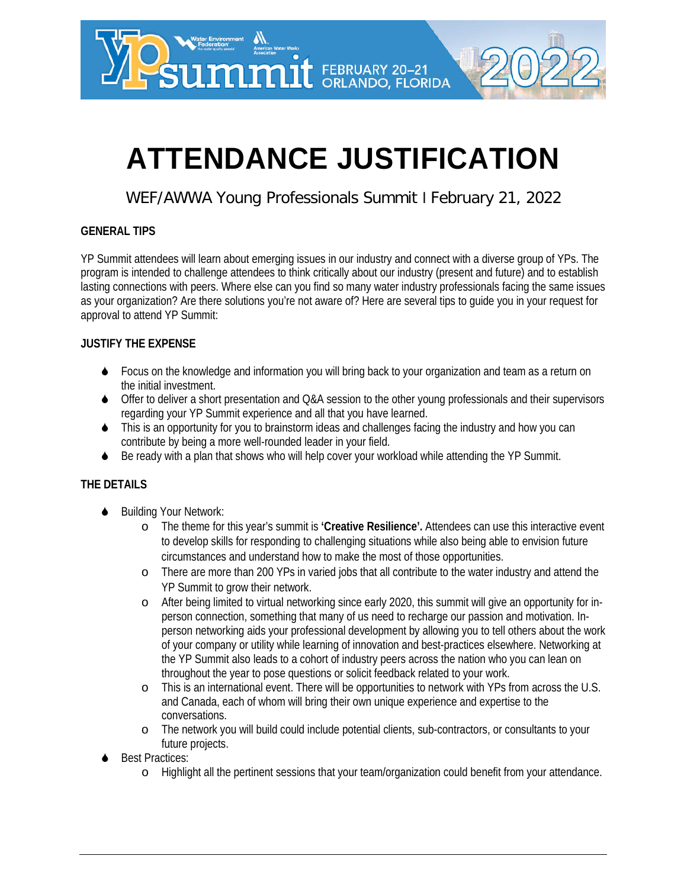

# **ATTENDANCE JUSTIFICATION**

### WEF/AWWA Young Professionals Summit l February 21, 2022

#### **GENERAL TIPS**

YP Summit attendees will learn about emerging issues in our industry and connect with a diverse group of YPs. The program is intended to challenge attendees to think critically about our industry (present and future) and to establish lasting connections with peers. Where else can you find so many water industry professionals facing the same issues as your organization? Are there solutions you're not aware of? Here are several tips to guide you in your request for approval to attend YP Summit:

#### **JUSTIFY THE EXPENSE**

- ◆ Focus on the knowledge and information you will bring back to your organization and team as a return on the initial investment.
- ◆ Offer to deliver a short presentation and Q&A session to the other young professionals and their supervisors regarding your YP Summit experience and all that you have learned.
- This is an opportunity for you to brainstorm ideas and challenges facing the industry and how you can contribute by being a more well-rounded leader in your field.
- Be ready with a plan that shows who will help cover your workload while attending the YP Summit.

#### **THE DETAILS**

- Building Your Network:
	- o The theme for this year's summit is **'Creative Resilience'.** Attendees can use this interactive event to develop skills for responding to challenging situations while also being able to envision future circumstances and understand how to make the most of those opportunities.
	- o There are more than 200 YPs in varied jobs that all contribute to the water industry and attend the YP Summit to grow their network.
	- o After being limited to virtual networking since early 2020, this summit will give an opportunity for inperson connection, something that many of us need to recharge our passion and motivation. Inperson networking aids your professional development by allowing you to tell others about the work of your company or utility while learning of innovation and best-practices elsewhere. Networking at the YP Summit also leads to a cohort of industry peers across the nation who you can lean on throughout the year to pose questions or solicit feedback related to your work.
	- o This is an international event. There will be opportunities to network with YPs from across the U.S. and Canada, each of whom will bring their own unique experience and expertise to the conversations.
	- o The network you will build could include potential clients, sub-contractors, or consultants to your future projects.
- Best Practices:
	- o Highlight all the pertinent sessions that your team/organization could benefit from your attendance.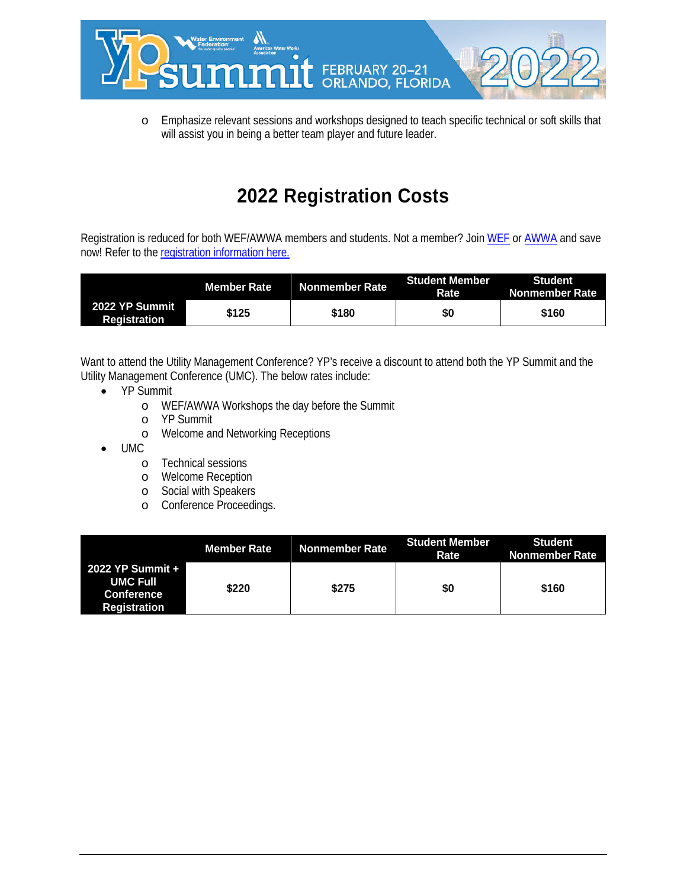

o Emphasize relevant sessions and workshops designed to teach specific technical or soft skills that will assist you in being a better team player and future leader.

### **2022 Registration Costs**

Registration is reduced for both WEF/AWWA members and students. Not a member? Joi[n WEF](https://www.wef.org/membership/join-wef/) or [AWWA](https://www.awwa.org/Membership-Volunteering/Join/Individual-Membership) and save now! Refer to the [registration information](https://registration.experientevent.com/ShowWEF226/) here.

|                                       | Member Rate | Nonmember Rate | <b>Student Member</b><br>Rate | Student<br>Nonmember Rate |
|---------------------------------------|-------------|----------------|-------------------------------|---------------------------|
| 2022 YP Summit<br><b>Registration</b> | \$125       | \$180          | \$0                           | \$160                     |

Want to attend the Utility Management Conference? YP's receive a discount to attend both the YP Summit and the Utility Management Conference (UMC). The below rates include:

- YP Summit
	- o WEF/AWWA Workshops the day before the Summit
	- o YP Summit
	- o Welcome and Networking Receptions
- UMC
	- o Technical sessions
	- o Welcome Reception
	- o Social with Speakers
	- o Conference Proceedings.

|                                                                          | Member Rate | Nonmember Rate \ | <b>Student Member</b><br>Rate | <b>Student</b><br>Nonmember Rate |
|--------------------------------------------------------------------------|-------------|------------------|-------------------------------|----------------------------------|
| 2022 YP Summit +<br><b>UMC Full</b><br>Conference<br><b>Registration</b> | \$220       | \$275            | \$0                           | \$160                            |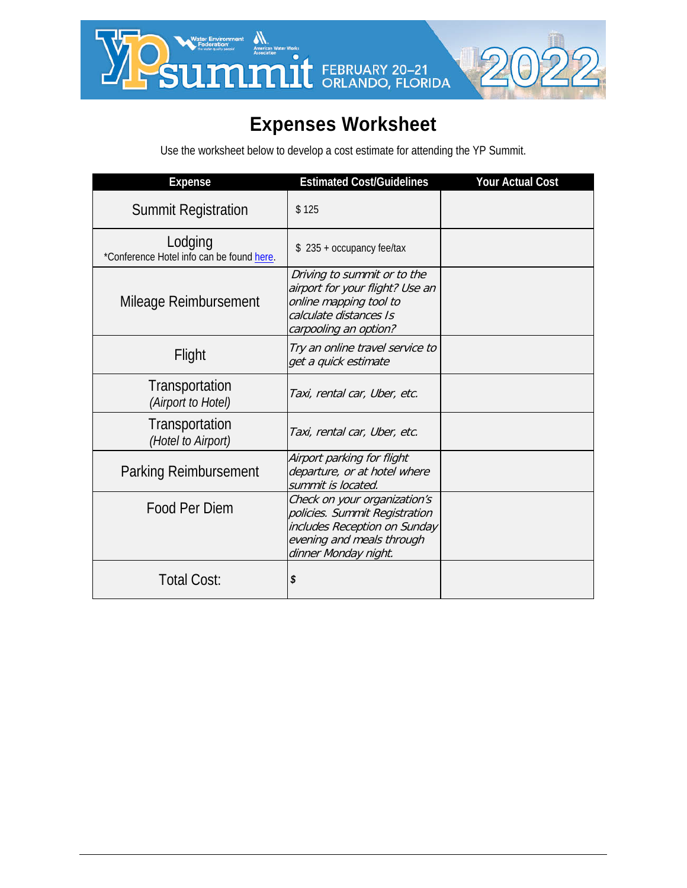

## **Expenses Worksheet**

Use the worksheet below to develop a cost estimate for attending the YP Summit.

| <b>Expense</b>                                       | <b>Estimated Cost/Guidelines</b>                                                                                                                   | <b>Your Actual Cost</b> |
|------------------------------------------------------|----------------------------------------------------------------------------------------------------------------------------------------------------|-------------------------|
| <b>Summit Registration</b>                           | \$125                                                                                                                                              |                         |
| Lodging<br>*Conference Hotel info can be found here. | $$235 + occupancy$ fee/tax                                                                                                                         |                         |
| Mileage Reimbursement                                | Driving to summit or to the<br>airport for your flight? Use an<br>online mapping tool to<br>calculate distances Is<br>carpooling an option?        |                         |
| Flight                                               | Try an online travel service to<br>get a quick estimate                                                                                            |                         |
| Transportation<br>(Airport to Hotel)                 | Taxi, rental car, Uber, etc.                                                                                                                       |                         |
| Transportation<br>(Hotel to Airport)                 | Taxi, rental car, Uber, etc.                                                                                                                       |                         |
| <b>Parking Reimbursement</b>                         | Airport parking for flight<br>departure, or at hotel where<br>summit is located.                                                                   |                         |
| Food Per Diem                                        | Check on your organization's<br>policies. Summit Registration<br>includes Reception on Sunday<br>evening and meals through<br>dinner Monday night. |                         |
| Total Cost:                                          | \$                                                                                                                                                 |                         |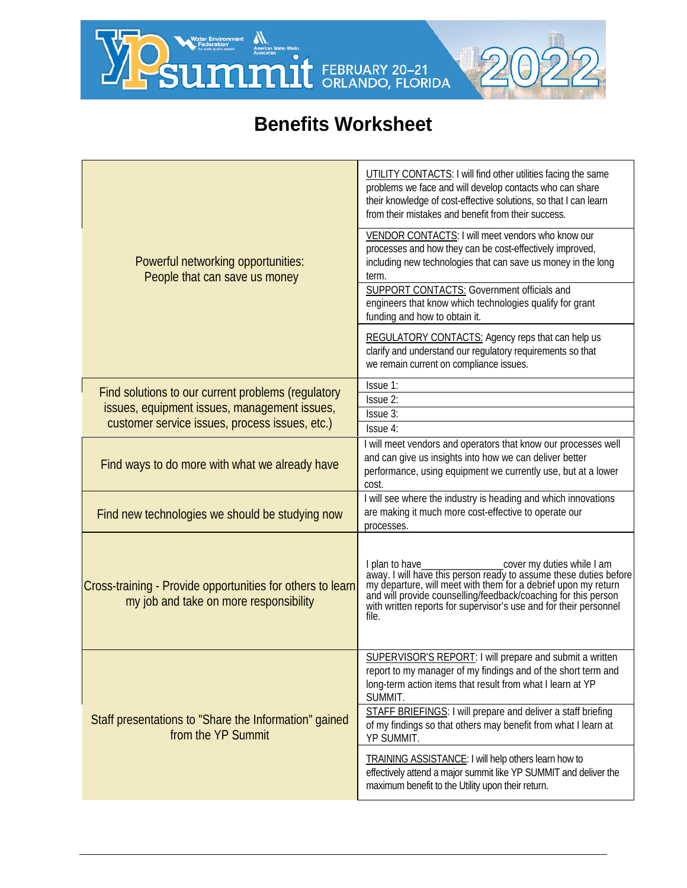N WESTERNIGHTENNIE AND WESTERNIARY 20-21



### **Benefits Worksheet**

| Powerful networking opportunities:<br>People that can save us money                                  | UTILITY CONTACTS: I will find other utilities facing the same<br>problems we face and will develop contacts who can share<br>their knowledge of cost-effective solutions, so that I can learn<br>from their mistakes and benefit from their success.<br>VENDOR CONTACTS: I will meet vendors who know our<br>processes and how they can be cost-effectively improved,<br>including new technologies that can save us money in the long<br>term.<br><b>SUPPORT CONTACTS:</b> Government officials and<br>engineers that know which technologies qualify for grant<br>funding and how to obtain it. |  |
|------------------------------------------------------------------------------------------------------|---------------------------------------------------------------------------------------------------------------------------------------------------------------------------------------------------------------------------------------------------------------------------------------------------------------------------------------------------------------------------------------------------------------------------------------------------------------------------------------------------------------------------------------------------------------------------------------------------|--|
|                                                                                                      | <b>REGULATORY CONTACTS:</b> Agency reps that can help us<br>clarify and understand our regulatory requirements so that<br>we remain current on compliance issues.                                                                                                                                                                                                                                                                                                                                                                                                                                 |  |
| Find solutions to our current problems (regulatory                                                   | Issue 1:                                                                                                                                                                                                                                                                                                                                                                                                                                                                                                                                                                                          |  |
| issues, equipment issues, management issues,                                                         | Issue 2:                                                                                                                                                                                                                                                                                                                                                                                                                                                                                                                                                                                          |  |
| customer service issues, process issues, etc.)                                                       | Issue 3:<br>Issue 4:                                                                                                                                                                                                                                                                                                                                                                                                                                                                                                                                                                              |  |
| Find ways to do more with what we already have                                                       | I will meet vendors and operators that know our processes well<br>and can give us insights into how we can deliver better<br>performance, using equipment we currently use, but at a lower<br>cost.                                                                                                                                                                                                                                                                                                                                                                                               |  |
| Find new technologies we should be studying now                                                      | I will see where the industry is heading and which innovations<br>are making it much more cost-effective to operate our<br>processes.                                                                                                                                                                                                                                                                                                                                                                                                                                                             |  |
| Cross-training - Provide opportunities for others to learn<br>my job and take on more responsibility | I plan to have<br>cover my duties while I am<br>away. I will have this person ready to assume these duties before my departure, will meet with them for a debrief upon my return<br>and will provide counselling/feedback/coaching for this person<br>with written reports for supervisor's use and for their personnel<br>file.                                                                                                                                                                                                                                                                  |  |
| Staff presentations to "Share the Information" gained<br>from the YP Summit                          | SUPERVISOR'S REPORT: I will prepare and submit a written<br>report to my manager of my findings and of the short term and<br>long-term action items that result from what I learn at YP<br>SUMMIT.<br>STAFF BRIEFINGS: I will prepare and deliver a staff briefing<br>of my findings so that others may benefit from what I learn at<br>YP SUMMIT.<br>TRAINING ASSISTANCE: I will help others learn how to<br>effectively attend a major summit like YP SUMMIT and deliver the<br>maximum benefit to the Utility upon their return.                                                               |  |
|                                                                                                      |                                                                                                                                                                                                                                                                                                                                                                                                                                                                                                                                                                                                   |  |